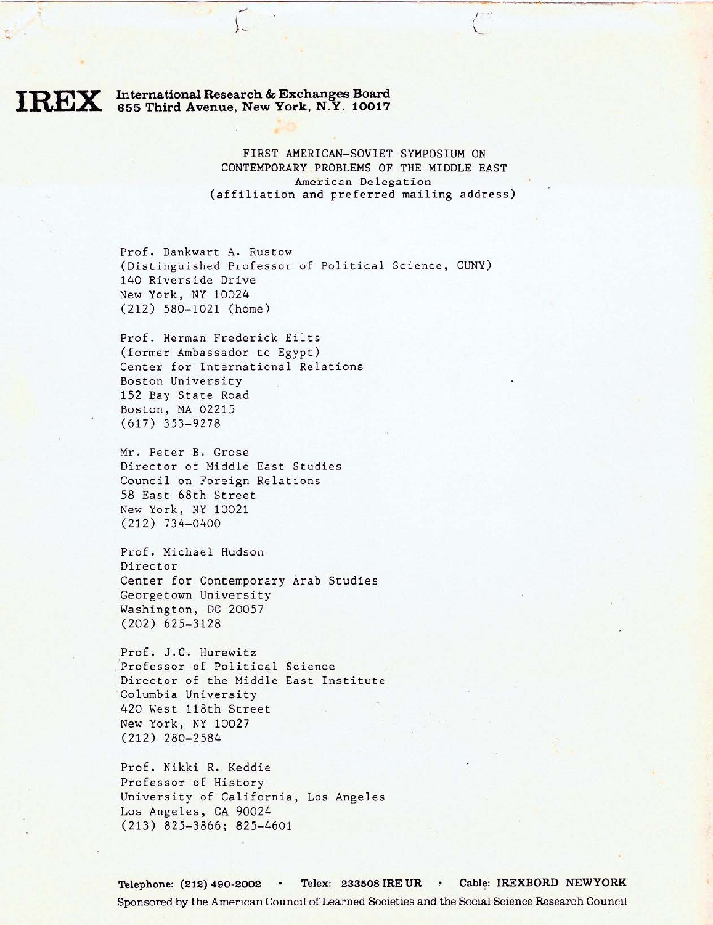## International Research & Exchanges Board 655 Third Avenue, New York, **N.Y.** 10017

FIRST AMERICAN-SOVIET SYMPOSIUM ON CONTEMPORARY PROBLEMS OF THE MIDDLE EAST American Delegation (affiliation and preferred mailing address)

Prof. Dankwart A. Rustow (Distinguished Professor of Political Science, CUNY) 140 Riverside Drive New York, NY 10024 (212) 580- 1021 (home)

Prof. Herman Frederick Eilts (former Ambassador to Egypt) Center for International Relations Boston University 152 Bay State Road Boston, MA 02215 (617) 353-9278

Mr. Peter B. Grose Director of Middle East Studies Council on Foreign Relations 58 East 68th Street New York, NY 10021 (212) 734-0400

Prof. Michael Hudson Director Center for Contemporary Arab Studies Georgetown University Washington, DC 20057 (202) 625-3128

Prof. J.C. Hurewitz Professor of Political Science Director of the Middle East Institute Columbia University 420 West 118th Street New York, NY 10027 (212) 280-2584

Prof. Nikki R. Keddie Professor of History University of California, Los Angeles Los Angeles, CA 90024 (213) 825-3866; 825-4601

Telephone: (212) 490-2002 · Telex: 233508 IRE UR · Cable: IREXBORD NEWYORK Sponsored by the American Council of Learned Societies and the Social Science Research Council